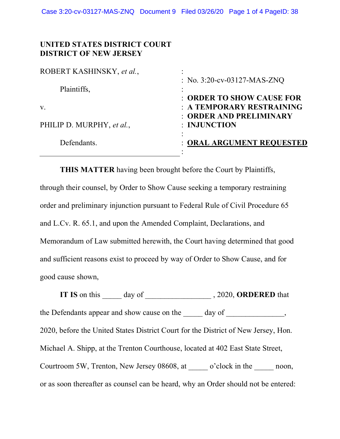## **UNITED STATES DISTRICT COURT DISTRICT OF NEW JERSEY**

| ROBERT KASHINSKY, et al., |                                         |
|---------------------------|-----------------------------------------|
| Plaintiffs,               | : No. $3:20$ -cv-03127-MAS-ZNQ          |
|                           | : ORDER TO SHOW CAUSE FOR               |
| $V_{\cdot}$               | : A TEMPORARY RESTRAINING               |
| PHILIP D. MURPHY, et al., | : ORDER AND PRELIMINARY<br>: INJUNCTION |
| Defendants.               | : ORAL ARGUMENT REQUESTED               |
|                           |                                         |

**THIS MATTER** having been brought before the Court by Plaintiffs, through their counsel, by Order to Show Cause seeking a temporary restraining order and preliminary injunction pursuant to Federal Rule of Civil Procedure 65 and L.Cv. R. 65.1, and upon the Amended Complaint, Declarations, and Memorandum of Law submitted herewith, the Court having determined that good and sufficient reasons exist to proceed by way of Order to Show Cause, and for good cause shown,

**IT IS** on this \_\_\_\_\_ day of \_\_\_\_\_\_\_\_\_\_\_\_\_\_\_\_\_ , 2020, **ORDERED** that the Defendants appear and show cause on the \_\_\_\_\_ day of \_\_\_\_\_\_\_\_\_\_\_\_\_, 2020, before the United States District Court for the District of New Jersey, Hon. Michael A. Shipp, at the Trenton Courthouse, located at 402 East State Street, Courtroom 5W, Trenton, New Jersey 08608, at \_\_\_\_\_ o'clock in the \_\_\_\_\_ noon, or as soon thereafter as counsel can be heard, why an Order should not be entered: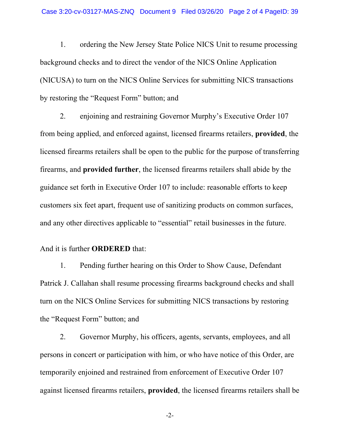1. ordering the New Jersey State Police NICS Unit to resume processing background checks and to direct the vendor of the NICS Online Application (NICUSA) to turn on the NICS Online Services for submitting NICS transactions by restoring the "Request Form" button; and

2. enjoining and restraining Governor Murphy's Executive Order 107 from being applied, and enforced against, licensed firearms retailers, **provided**, the licensed firearms retailers shall be open to the public for the purpose of transferring firearms, and **provided further**, the licensed firearms retailers shall abide by the guidance set forth in Executive Order 107 to include: reasonable efforts to keep customers six feet apart, frequent use of sanitizing products on common surfaces, and any other directives applicable to "essential" retail businesses in the future.

## And it is further **ORDERED** that:

1. Pending further hearing on this Order to Show Cause, Defendant Patrick J. Callahan shall resume processing firearms background checks and shall turn on the NICS Online Services for submitting NICS transactions by restoring the "Request Form" button; and

2. Governor Murphy, his officers, agents, servants, employees, and all persons in concert or participation with him, or who have notice of this Order, are temporarily enjoined and restrained from enforcement of Executive Order 107 against licensed firearms retailers, **provided**, the licensed firearms retailers shall be

-2-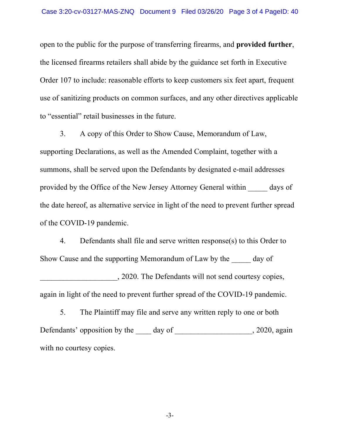open to the public for the purpose of transferring firearms, and **provided further**, the licensed firearms retailers shall abide by the guidance set forth in Executive Order 107 to include: reasonable efforts to keep customers six feet apart, frequent use of sanitizing products on common surfaces, and any other directives applicable to "essential" retail businesses in the future.

3. A copy of this Order to Show Cause, Memorandum of Law, supporting Declarations, as well as the Amended Complaint, together with a summons, shall be served upon the Defendants by designated e-mail addresses provided by the Office of the New Jersey Attorney General within \_\_\_\_\_ days of the date hereof, as alternative service in light of the need to prevent further spread of the COVID-19 pandemic.

4. Defendants shall file and serve written response(s) to this Order to Show Cause and the supporting Memorandum of Law by the day of \_\_\_\_\_\_\_\_\_\_\_\_\_\_\_\_\_\_\_\_, 2020. The Defendants will not send courtesy copies, again in light of the need to prevent further spread of the COVID-19 pandemic.

5. The Plaintiff may file and serve any written reply to one or both Defendants' opposition by the \_\_\_\_ day of \_\_\_\_\_\_\_\_\_\_\_\_\_\_\_\_\_\_, 2020, again with no courtesy copies.

-3-